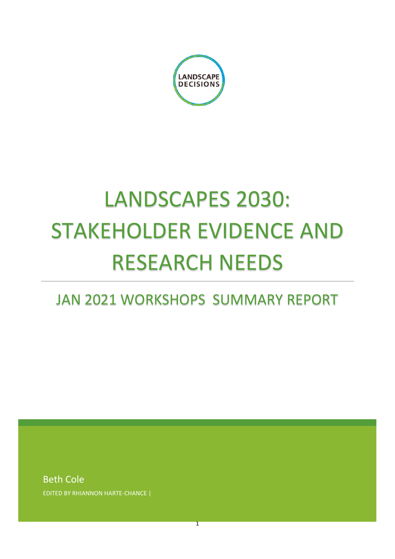

# LANDSCAPES 2030: STAKEHOLDER EVIDENCE AND RESEARCH NEEDS

# JAN 2021 WORKSHOPS SUMMARY REPORT

1

Beth Cole EDITED BY RHIANNON HARTE-CHANCE |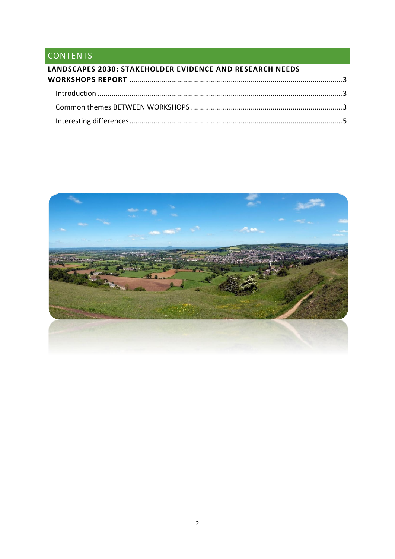## CONTENTS

| LANDSCAPES 2030: STAKEHOLDER EVIDENCE AND RESEARCH NEEDS |  |
|----------------------------------------------------------|--|
|                                                          |  |
|                                                          |  |
|                                                          |  |
|                                                          |  |

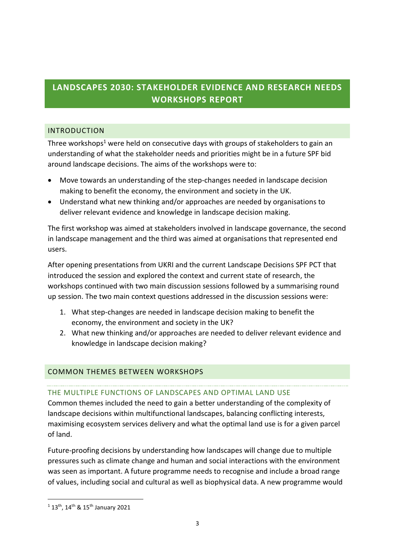### <span id="page-2-0"></span>**LANDSCAPES 2030: STAKEHOLDER EVIDENCE AND RESEARCH NEEDS WORKSHOPS REPORT**

#### <span id="page-2-1"></span>INTRODUCTION

Three workshops<sup>1</sup> were held on consecutive days with groups of stakeholders to gain an understanding of what the stakeholder needs and priorities might be in a future SPF bid around landscape decisions. The aims of the workshops were to:

- Move towards an understanding of the step-changes needed in landscape decision making to benefit the economy, the environment and society in the UK.
- Understand what new thinking and/or approaches are needed by organisations to deliver relevant evidence and knowledge in landscape decision making.

The first workshop was aimed at stakeholders involved in landscape governance, the second in landscape management and the third was aimed at organisations that represented end users.

After opening presentations from UKRI and the current Landscape Decisions SPF PCT that introduced the session and explored the context and current state of research, the workshops continued with two main discussion sessions followed by a summarising round up session. The two main context questions addressed in the discussion sessions were:

- 1. What step-changes are needed in landscape decision making to benefit the economy, the environment and society in the UK?
- 2. What new thinking and/or approaches are needed to deliver relevant evidence and knowledge in landscape decision making?

#### <span id="page-2-2"></span>COMMON THEMES BETWEEN WORKSHOPS

#### THE MULTIPLE FUNCTIONS OF LANDSCAPES AND OPTIMAL LAND USE

Common themes included the need to gain a better understanding of the complexity of landscape decisions within multifunctional landscapes, balancing conflicting interests, maximising ecosystem services delivery and what the optimal land use is for a given parcel of land.

Future-proofing decisions by understanding how landscapes will change due to multiple pressures such as climate change and human and social interactions with the environment was seen as important. A future programme needs to recognise and include a broad range of values, including social and cultural as well as biophysical data. A new programme would

1

 $1.13$ <sup>th</sup>, 14<sup>th</sup> & 15<sup>th</sup> January 2021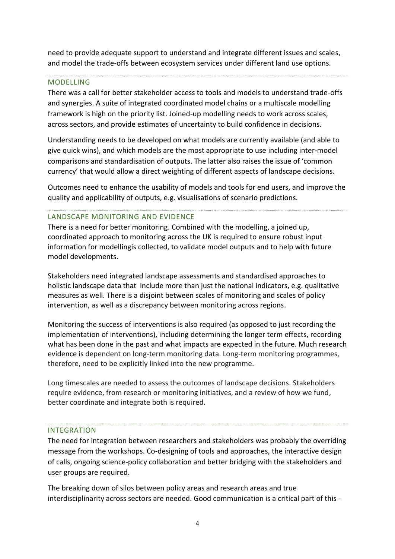need to provide adequate support to understand and integrate different issues and scales, and model the trade-offs between ecosystem services under different land use options.

#### MODELLING

There was a call for better stakeholder access to tools and models to understand trade-offs and synergies. A suite of integrated coordinated model chains or a multiscale modelling framework is high on the priority list. Joined-up modelling needs to work across scales, across sectors, and provide estimates of uncertainty to build confidence in decisions.

Understanding needs to be developed on what models are currently available (and able to give quick wins), and which models are the most appropriate to use including inter-model comparisons and standardisation of outputs. The latter also raises the issue of 'common currency' that would allow a direct weighting of different aspects of landscape decisions.

Outcomes need to enhance the usability of models and tools for end users, and improve the quality and applicability of outputs, e.g. visualisations of scenario predictions.

#### LANDSCAPE MONITORING AND EVIDENCE

There is a need for better monitoring. Combined with the modelling, a joined up, coordinated approach to monitoring across the UK is required to ensure robust input information for modellingis collected, to validate model outputs and to help with future model developments.

Stakeholders need integrated landscape assessments and standardised approaches to holistic landscape data that include more than just the national indicators, e.g. qualitative measures as well. There is a disjoint between scales of monitoring and scales of policy intervention, as well as a discrepancy between monitoring across regions.

Monitoring the success of interventions is also required (as opposed to just recording the implementation of interventions), including determining the longer term effects, recording what has been done in the past and what impacts are expected in the future. Much research evidence is dependent on long-term monitoring data. Long-term monitoring programmes, therefore, need to be explicitly linked into the new programme.

Long timescales are needed to assess the outcomes of landscape decisions. Stakeholders require evidence, from research or monitoring initiatives, and a review of how we fund, better coordinate and integrate both is required.

#### INTEGRATION

The need for integration between researchers and stakeholders was probably the overriding message from the workshops. Co-designing of tools and approaches, the interactive design of calls, ongoing science-policy collaboration and better bridging with the stakeholders and user groups are required.

The breaking down of silos between policy areas and research areas and true interdisciplinarity across sectors are needed. Good communication is a critical part of this -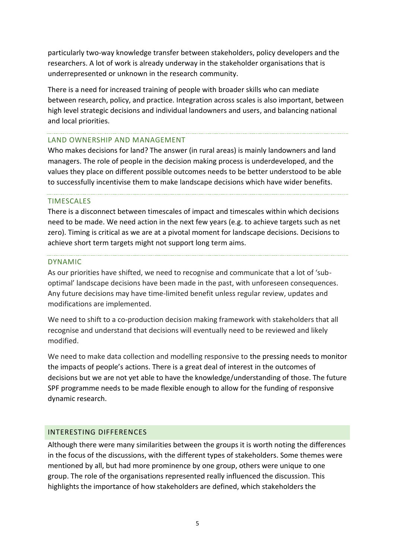particularly two-way knowledge transfer between stakeholders, policy developers and the researchers. A lot of work is already underway in the stakeholder organisations that is underrepresented or unknown in the research community.

There is a need for increased training of people with broader skills who can mediate between research, policy, and practice. Integration across scales is also important, between high level strategic decisions and individual landowners and users, and balancing national and local priorities.

#### LAND OWNERSHIP AND MANAGEMENT

Who makes decisions for land? The answer (in rural areas) is mainly landowners and land managers. The role of people in the decision making process is underdeveloped, and the values they place on different possible outcomes needs to be better understood to be able to successfully incentivise them to make landscape decisions which have wider benefits.

#### TIMESCALES

There is a disconnect between timescales of impact and timescales within which decisions need to be made. We need action in the next few years (e.g. to achieve targets such as net zero). Timing is critical as we are at a pivotal moment for landscape decisions. Decisions to achieve short term targets might not support long term aims.

#### DYNAMIC

As our priorities have shifted, we need to recognise and communicate that a lot of 'suboptimal' landscape decisions have been made in the past, with unforeseen consequences. Any future decisions may have time-limited benefit unless regular review, updates and modifications are implemented.

We need to shift to a co-production decision making framework with stakeholders that all recognise and understand that decisions will eventually need to be reviewed and likely modified.

We need to make data collection and modelling responsive to the pressing needs to monitor the impacts of people's actions. There is a great deal of interest in the outcomes of decisions but we are not yet able to have the knowledge/understanding of those. The future SPF programme needs to be made flexible enough to allow for the funding of responsive dynamic research.

#### <span id="page-4-0"></span>INTERESTING DIFFERENCES

Although there were many similarities between the groups it is worth noting the differences in the focus of the discussions, with the different types of stakeholders. Some themes were mentioned by all, but had more prominence by one group, others were unique to one group. The role of the organisations represented really influenced the discussion. This highlights the importance of how stakeholders are defined, which stakeholders the